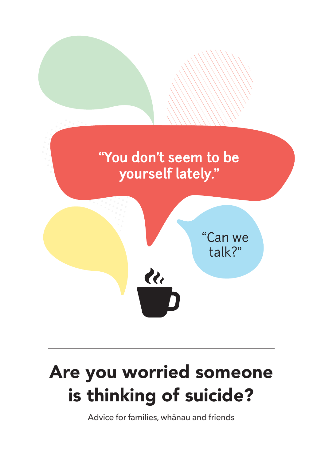

# Are you worried someone is thinking of suicide?

Advice for families, whānau and friends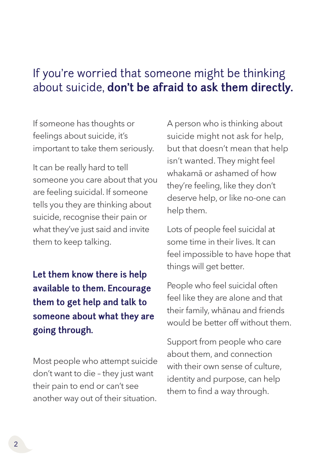### If you're worried that someone might be thinking about suicide, **don't be afraid to ask them directly.**

If someone has thoughts or feelings about suicide, it's important to take them seriously.

It can be really hard to tell someone you care about that you are feeling suicidal. If someone tells you they are thinking about suicide, recognise their pain or what they've just said and invite them to keep talking.

**Let them know there is help available to them. Encourage them to get help and talk to someone about what they are going through.** 

Most people who attempt suicide don't want to die – they just want their pain to end or can't see another way out of their situation. A person who is thinking about suicide might not ask for help, but that doesn't mean that help isn't wanted. They might feel whakamā or ashamed of how they're feeling, like they don't deserve help, or like no-one can help them.

Lots of people feel suicidal at some time in their lives. It can feel impossible to have hope that things will get better.

People who feel suicidal often feel like they are alone and that their family, whānau and friends would be better off without them.

Support from people who care about them, and connection with their own sense of culture, identity and purpose, can help them to find a way through.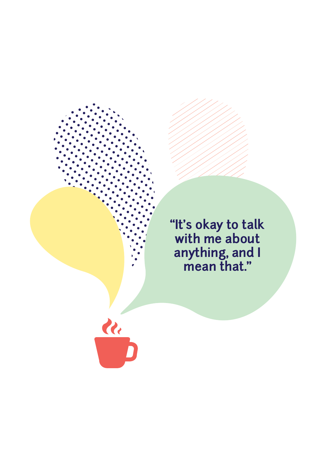**"It's okay to talk with me about anything, and I mean that."**

<u>ले</u>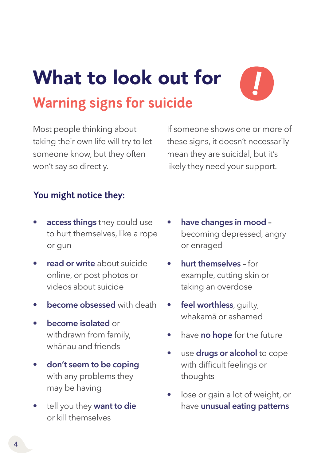# What to look out for **Warning signs for suicide**



Most people thinking about taking their own life will try to let someone know, but they often won't say so directly.

If someone shows one or more of these signs, it doesn't necessarily mean they are suicidal, but it's likely they need your support.

#### **You might notice they:**

- **access things** they could use to hurt themselves, like a rope or gun
- **read or write** about suicide online, or post photos or videos about suicide
- **become obsessed** with death
- **become isolated** or withdrawn from family, whānau and friends
- **don't seem to be coping** with any problems they may be having
- tell you they **want to die** or kill themselves
- **have changes in mood –** becoming depressed, angry or enraged
- **hurt themselves** for example, cutting skin or taking an overdose
- feel worthless, quilty, whakamā or ashamed
- have **no hope** for the future
- use **drugs or alcohol** to cope with difficult feelings or thoughts
- lose or gain a lot of weight, or have **unusual eating patterns**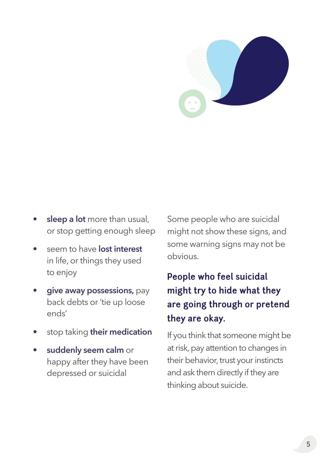

- **sleep a lot** more than usual, or stop getting enough sleep
- seem to have **lost interest** in life, or things they used to enjoy
- **give away possessions,** pay back debts or 'tie up loose ends'
- stop taking **their medication**
- **suddenly seem calm** or happy after they have been depressed or suicidal

Some people who are suicidal might not show these signs, and some warning signs may not be obvious.

### **People who feel suicidal might try to hide what they are going through or pretend they are okay.**

If you think that someone might be at risk, pay attention to changes in their behavior, trust your instincts and ask them directly if they are thinking about suicide.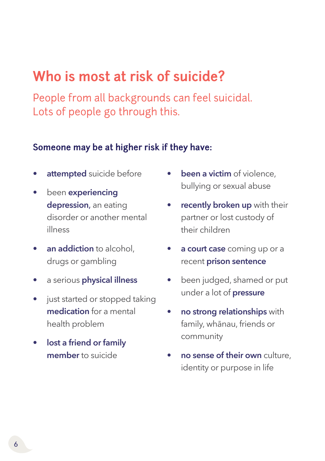# **Who is most at risk of suicide?**

People from all backgrounds can feel suicidal. Lots of people go through this.

#### **Someone may be at higher risk if they have:**

- **attempted** suicide before
- been **experiencing depression**, an eating disorder or another mental illness
- **an addiction** to alcohol, drugs or gambling
- a serious **physical illness**
- just started or stopped taking **medication** for a mental health problem
- **lost a friend or family member** to suicide
- **been a victim** of violence, bullying or sexual abuse
- **recently broken up** with their partner or lost custody of their children
- **a court case** coming up or a recent **prison sentence**
- been judged, shamed or put under a lot of **pressure**
- **no strong relationships** with family, whānau, friends or community
- **no sense of their own** culture, identity or purpose in life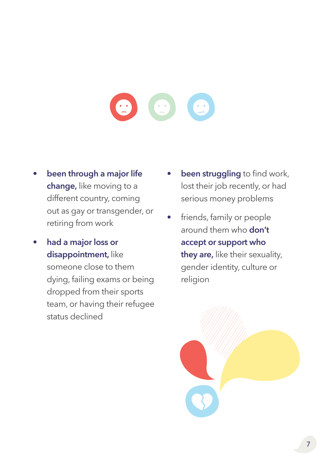#### $\bullet$  $\bullet$  $\bullet$

- **been through a major life change,** like moving to a different country, coming out as gay or transgender, or retiring from work
- **had a major loss or disappointment,** like

someone close to them dying, failing exams or being dropped from their sports team, or having their refugee status declined

- **been struggling** to find work, lost their job recently, or had serious money problems
- friends, family or people around them who **don't accept or support who they are,** like their sexuality, gender identity, culture or religion

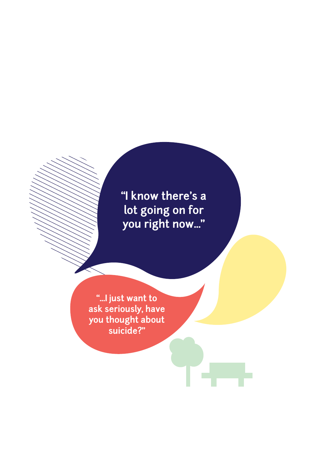**"I know there's a lot going on for you right now..."**

**"...I just want to ask seriously, have you thought about suicide?"**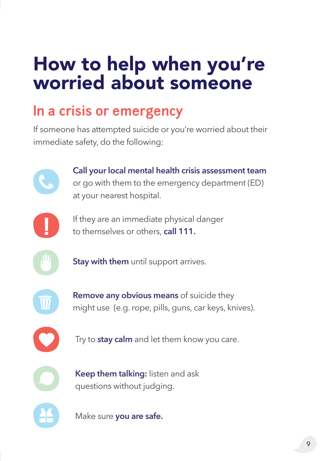# How to help when you're worried about someone

# **In a crisis or emergency**

If someone has attempted suicide or you're worried about their immediate safety, do the following:

> **Call your local mental health crisis assessment team** or go with them to the emergency department (ED) at your nearest hospital.



If they are an immediate physical danger to themselves or others, **call 111.**



**Stay with them** until support arrives.



**Remove any obvious means** of suicide they might use (e.g. rope, pills, guns, car keys, knives).



Try to **stay calm** and let them know you care.



questions without judging.

**Keep them talking:** listen and ask

Make sure **you are safe.**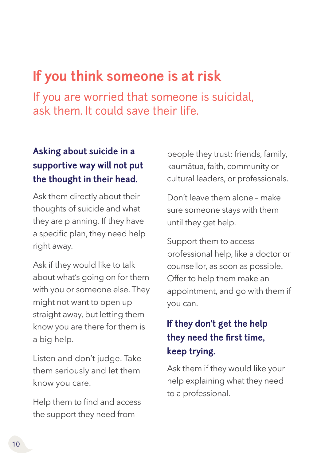# **If you think someone is at risk**

If you are worried that someone is suicidal, ask them. It could save their life.

#### **Asking about suicide in a supportive way will not put the thought in their head.**

Ask them directly about their thoughts of suicide and what they are planning. If they have a specific plan, they need help right away.

Ask if they would like to talk about what's going on for them with you or someone else. They might not want to open up straight away, but letting them know you are there for them is a big help.

Listen and don't judge. Take them seriously and let them know you care.

Help them to find and access the support they need from

people they trust: friends, family, kaumātua, faith, community or cultural leaders, or professionals.

Don't leave them alone – make sure someone stays with them until they get help.

Support them to access professional help, like a doctor or counsellor, as soon as possible. Offer to help them make an appointment, and go with them if you can.

#### **If they don't get the help they need the first time, keep trying.**

Ask them if they would like your help explaining what they need to a professional.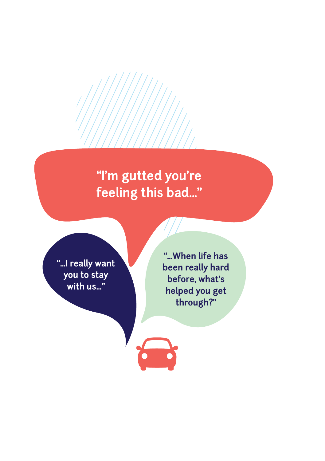# **"I'm gutted you're feeling this bad..."**

**"...I really want you to stay with us..."**

**"...When life has been really hard before, what's helped you get through?"**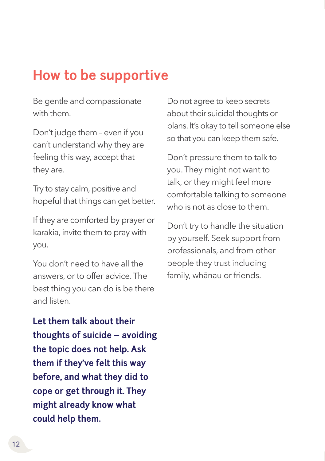# **How to be supportive**

Be gentle and compassionate with them.

Don't judge them – even if you can't understand why they are feeling this way, accept that they are.

Try to stay calm, positive and hopeful that things can get better.

If they are comforted by prayer or karakia, invite them to pray with you.

You don't need to have all the answers, or to offer advice. The best thing you can do is be there and listen.

Do not agree to keep secrets about their suicidal thoughts or plans. It's okay to tell someone else so that you can keep them safe.

Don't pressure them to talk to you. They might not want to talk, or they might feel more comfortable talking to someone who is not as close to them.

Don't try to handle the situation by yourself. Seek support from professionals, and from other people they trust including family, whānau or friends.

**Let them talk about their thoughts of suicide – avoiding the topic does not help. Ask them if they've felt this way before, and what they did to cope or get through it. They might already know what could help them.**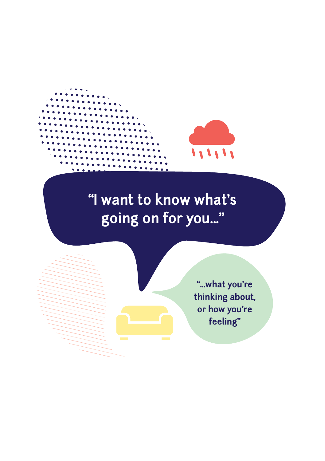

# **"I want to know what's going on for you..."**

**"...what you're thinking about, or how you're feeling"**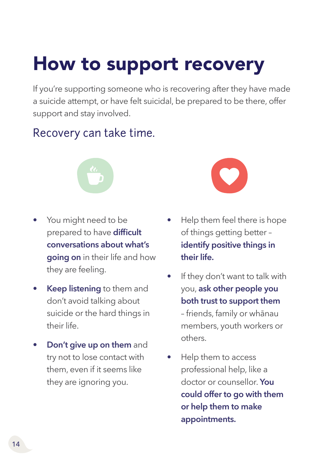# How to support recovery

If you're supporting someone who is recovering after they have made a suicide attempt, or have felt suicidal, be prepared to be there, offer support and stay involved.

### Recovery can take time.

![](_page_13_Picture_3.jpeg)

- You might need to be prepared to have **difficult conversations about what's going on** in their life and how they are feeling.
- **Keep listening** to them and don't avoid talking about suicide or the hard things in their life.
- **Don't give up on them** and try not to lose contact with them, even if it seems like they are ignoring you.

![](_page_13_Picture_7.jpeg)

- Help them feel there is hope of things getting better – **identify positive things in their life.**
- If they don't want to talk with you, **ask other people you both trust to support them** – friends, family or whānau members, youth workers or others.
- Help them to access professional help, like a doctor or counsellor. **You could offer to go with them or help them to make appointments.**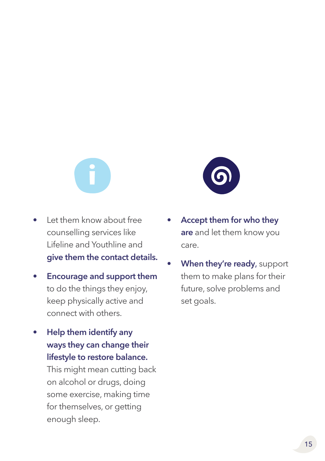- Let them know about free counselling services like Lifeline and Youthline and **give them the contact details.**
- **Encourage and support them** to do the things they enjoy, keep physically active and connect with others.
- **Help them identify any ways they can change their lifestyle to restore balance.**

This might mean cutting back on alcohol or drugs, doing some exercise, making time for themselves, or getting enough sleep.

![](_page_14_Picture_5.jpeg)

- **Accept them for who they are** and let them know you care.
- **When they're ready**, support them to make plans for their future, solve problems and set goals.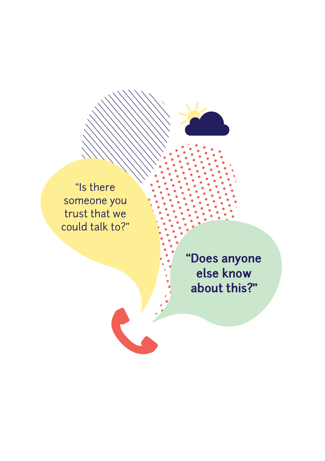![](_page_15_Picture_0.jpeg)

"Is there someone you trust that we could talk to?"

> **"Does anyone else know about this?"**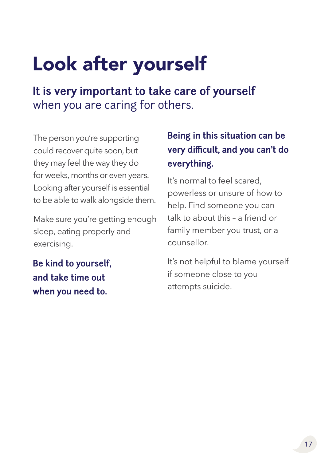# Look after yourself

**It is very important to take care of yourself**  when you are caring for others.

The person you're supporting could recover quite soon, but they may feel the way they do for weeks, months or even years. Looking after yourself is essential to be able to walk alongside them.

Make sure you're getting enough sleep, eating properly and exercising.

**Be kind to yourself, and take time out when you need to.**

#### **Being in this situation can be very difficult, and you can't do everything.**

It's normal to feel scared, powerless or unsure of how to help. Find someone you can talk to about this – a friend or family member you trust, or a counsellor.

It's not helpful to blame yourself if someone close to you attempts suicide.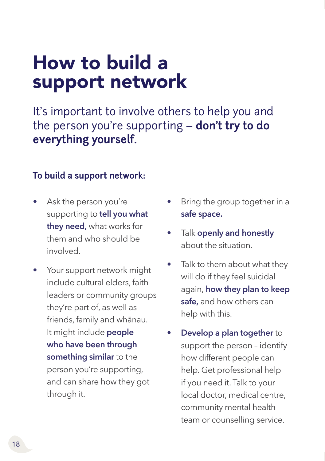# How to build a support network

It's important to involve others to help you and the person you're supporting – **don't try to do everything yourself.**

#### **To build a support network:**

- Ask the person you're supporting to **tell you what they need,** what works for them and who should be involved.
- Your support network might include cultural elders, faith leaders or community groups they're part of, as well as friends, family and whānau. It might include **people who have been through something similar** to the person you're supporting, and can share how they got through it.
- Bring the group together in a **safe space.**
- Talk **openly and honestly** about the situation.
- Talk to them about what they will do if they feel suicidal again, **how they plan to keep safe,** and how others can help with this.
- **Develop a plan together** to support the person – identify how different people can help. Get professional help if you need it. Talk to your local doctor, medical centre, community mental health team or counselling service.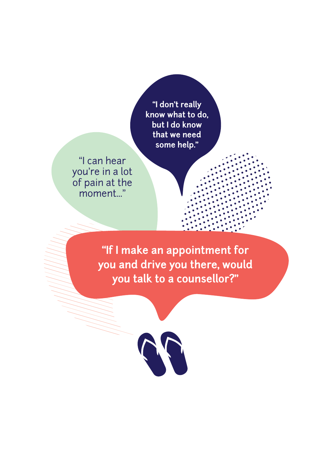**"I don't really know what to do, but I do know that we need some help."**

"I can hear you're in a lot of pain at the moment..."

> **"If I make an appointment for you and drive you there, would you talk to a counsellor?"**

![](_page_18_Picture_3.jpeg)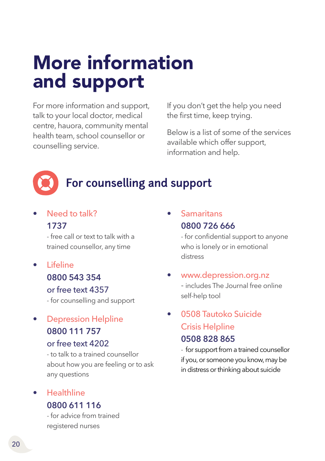# More information and support

For more information and support, talk to your local doctor, medical centre, hauora, community mental health team, school counsellor or counselling service.

If you don't get the help you need the first time, keep trying.

Below is a list of some of the services available which offer support, information and help.

### **For counselling and support**

#### Need to talk? **1737**

- free call or text to talk with a trained counsellor, any time

- Lifeline **0800 543 354** or free text 4357 - for counselling and support
- Depression Helpline **0800 111 757** or free text 4202

- to talk to a trained counsellor about how you are feeling or to ask any questions

• Healthline **0800 611 116**

- for advice from trained registered nurses

• Samaritans **0800 726 666**

> - for confidential support to anyone who is lonely or in emotional distress

• [www.depression.org.nz](http://www.depression.org.nz  ) - includes The Journal free online self-help tool

#### • 0508 Tautoko Suicide Crisis Helpline **0508 828 865**

- for support from a trained counsellor if you, or someone you know, may be in distress or thinking about suicide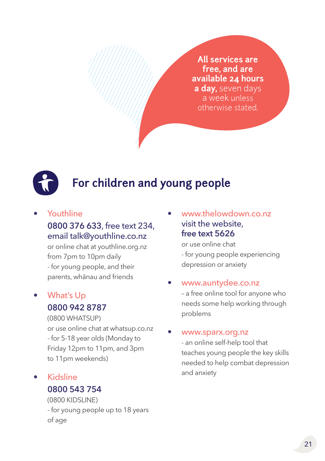**All services are free, and are available 24 hours a day,** seven days a week unless otherwise stated.

![](_page_20_Picture_1.jpeg)

### **For children and young people**

#### • Youthline

#### **0800 376 633**, free text 234, email [talk@youthline.co.nz](mailto:talk%40youthline.co.nz%20?subject=)

or online chat at youthline.org.nz from 7pm to 10pm daily - for young people, and their parents, whānau and friends

#### • What's Up **0800 942 8787**

(0800 WHATSUP) or use online chat at whatsup.co.nz - for 5-18 year olds (Monday to Friday 12pm to 11pm, and 3pm to 11pm weekends)

• Kidsline **0800 543 754**

> (0800 KIDSLINE) - for young people up to 18 years of age

• [www.thelowdown.co.nz](http://www.thelowdown.co.nz) visit the website, **free text 5626**

> or use online chat - for young people experiencing depression or anxiety

#### • [www.auntydee.co.nz](http://www.auntydee.co.nz  )

– a free online tool for anyone who needs some help working through problems

#### • [www.sparx.org.nz](http://www.sparx.org.nz  )

- an online self-help tool that teaches young people the key skills needed to help combat depression and anxiety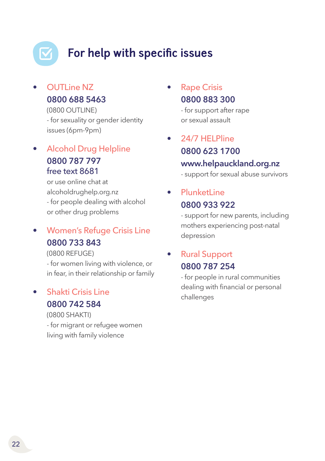# **For help with specific issues**

• OUTLine NZ **0800 688 5463** 

> (0800 OUTLINE) - for sexuality or gender identity issues (6pm-9pm)

• Alcohol Drug Helpline **0800 787 797** free text 8681

> or use online chat at alcoholdrughelp.org.nz - for people dealing with alcohol or other drug problems

#### • Women's Refuge Crisis Line **0800 733 843**

(0800 REFUGE)

- for women living with violence, or in fear, in their relationship or family

#### • Shakti Crisis Line **0800 742 584**

(0800 SHAKTI) - for migrant or refugee women living with family violence

**Rape Crisis 0800 883 300**

> - for support after rape or sexual assault

• 24/7 HELPline **0800 623 1700 [www.helpauckland.org.nz](http://www.helpauckland.org.nz )** - support for sexual abuse survivors

**PlunketLine 0800 933 922**

> - support for new parents, including mothers experiencing post-natal depression

#### • Rural Support **0800 787 254**

- for people in rural communities dealing with financial or personal challenges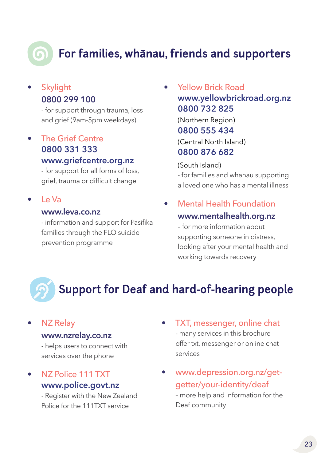### **For families, whanau, friends and supporters**

#### **Skylight 0800 299 100**

- for support through trauma, loss and grief (9am-5pm weekdays)

• The Grief Centre **0800 331 333 [www.griefcentre.org.nz](http://www.griefcentre.org.nz )**

> - for support for all forms of loss, grief, trauma or difficult change

• Le Va

#### **[www.leva.co.nz](http://www.leva.co.nz )**

- information and support for Pasifika families through the FLO suicide prevention programme

• Yellow Brick Road **[www.yellowbrickroad.org.nz](http://www.yellowbrickroad.org.nz) 0800 732 825** (Northern Region) **0800 555 434** (Central North Island) **0800 876 682**

(South Island) - for families and whānau supporting a loved one who has a mental illness

### • Mental Health Foundation

#### **[www.mentalhealth.org.nz](http://www.mentalhealth.org.nz)**

– for more information about supporting someone in distress, looking after your mental health and working towards recovery

### **Support for Deaf and hard-of-hearing people**

#### **NZ Relay**

#### **[www.nzrelay.co.nz](http://www.nzrelay.co.nz)**

- helps users to connect with services over the phone

• NZ Police 111 TXT **[www.police.govt.nz](http://www.police.govt.nz  )**

> - Register with the New Zealand Police for the 111TXT service

- TXT, messenger, online chat - many services in this brochure offer txt, messenger or online chat services
- [www.depression.org.nz/get](http://www.depression.org.nz/get-getter/your-identity/deaf )[getter/your-identity/deaf](http://www.depression.org.nz/get-getter/your-identity/deaf ) – more help and information for the Deaf community